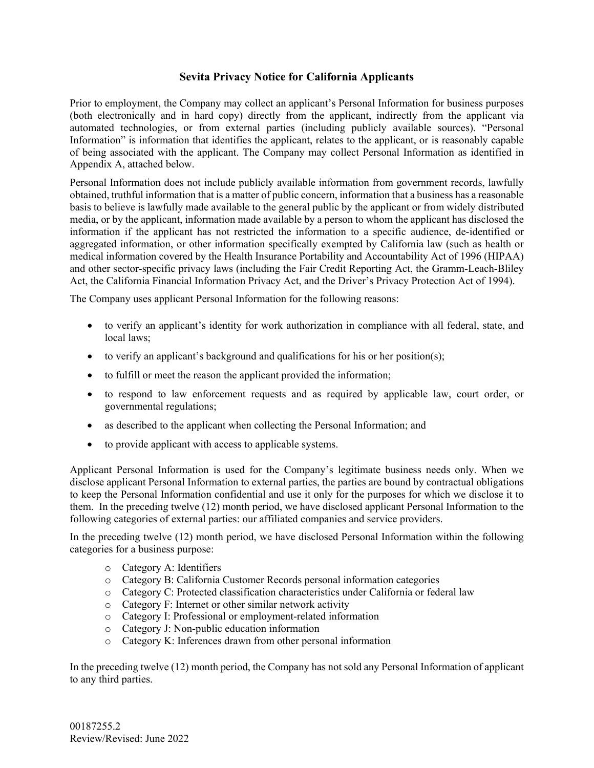## **Sevita Privacy Notice for California Applicants**

Prior to employment, the Company may collect an applicant's Personal Information for business purposes (both electronically and in hard copy) directly from the applicant, indirectly from the applicant via automated technologies, or from external parties (including publicly available sources). "Personal Information" is information that identifies the applicant, relates to the applicant, or is reasonably capable of being associated with the applicant. The Company may collect Personal Information as identified in Appendix A, attached below.

Personal Information does not include publicly available information from government records, lawfully obtained, truthful information that is a matter of public concern, information that a business has a reasonable basis to believe is lawfully made available to the general public by the applicant or from widely distributed media, or by the applicant, information made available by a person to whom the applicant has disclosed the information if the applicant has not restricted the information to a specific audience, de-identified or aggregated information, or other information specifically exempted by California law (such as health or medical information covered by the Health Insurance Portability and Accountability Act of 1996 (HIPAA) and other sector-specific privacy laws (including the Fair Credit Reporting Act, the Gramm-Leach-Bliley Act, the California Financial Information Privacy Act, and the Driver's Privacy Protection Act of 1994).

The Company uses applicant Personal Information for the following reasons:

- to verify an applicant's identity for work authorization in compliance with all federal, state, and local laws;
- to verify an applicant's background and qualifications for his or her position(s);
- to fulfill or meet the reason the applicant provided the information;
- to respond to law enforcement requests and as required by applicable law, court order, or governmental regulations;
- as described to the applicant when collecting the Personal Information; and
- to provide applicant with access to applicable systems.

Applicant Personal Information is used for the Company's legitimate business needs only. When we disclose applicant Personal Information to external parties, the parties are bound by contractual obligations to keep the Personal Information confidential and use it only for the purposes for which we disclose it to them. In the preceding twelve (12) month period, we have disclosed applicant Personal Information to the following categories of external parties: our affiliated companies and service providers.

In the preceding twelve (12) month period, we have disclosed Personal Information within the following categories for a business purpose:

- o Category A: Identifiers
- o Category B: California Customer Records personal information categories
- o Category C: Protected classification characteristics under California or federal law
- o Category F: Internet or other similar network activity
- o Category I: Professional or employment-related information
- o Category J: Non-public education information
- o Category K: Inferences drawn from other personal information

In the preceding twelve (12) month period, the Company has not sold any Personal Information of applicant to any third parties.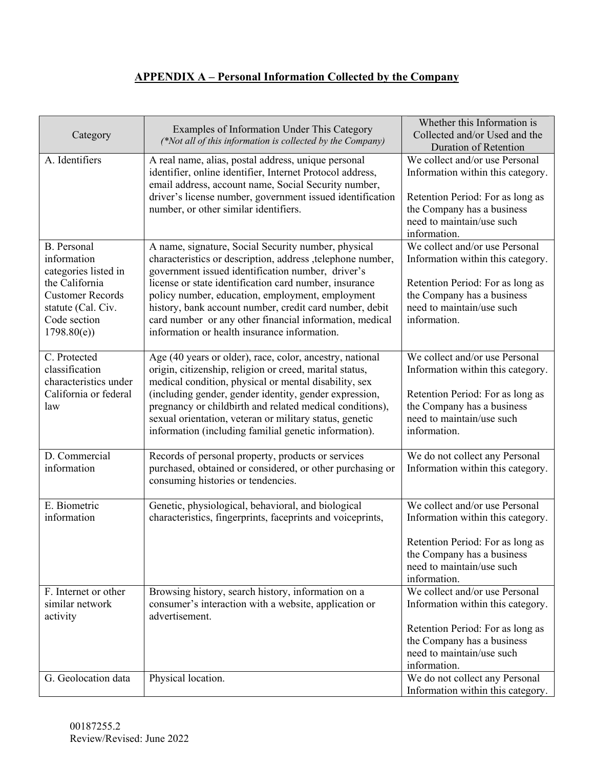## **APPENDIX A – Personal Information Collected by the Company**

| Category                                                                                                                                                   | Examples of Information Under This Category<br>(*Not all of this information is collected by the Company)                                                                                                                                                                                                                                                                                                                                                   | Whether this Information is<br>Collected and/or Used and the<br><b>Duration of Retention</b>                                                                                                                         |
|------------------------------------------------------------------------------------------------------------------------------------------------------------|-------------------------------------------------------------------------------------------------------------------------------------------------------------------------------------------------------------------------------------------------------------------------------------------------------------------------------------------------------------------------------------------------------------------------------------------------------------|----------------------------------------------------------------------------------------------------------------------------------------------------------------------------------------------------------------------|
| A. Identifiers                                                                                                                                             | A real name, alias, postal address, unique personal<br>identifier, online identifier, Internet Protocol address,<br>email address, account name, Social Security number,<br>driver's license number, government issued identification<br>number, or other similar identifiers.                                                                                                                                                                              | We collect and/or use Personal<br>Information within this category.<br>Retention Period: For as long as<br>the Company has a business<br>need to maintain/use such<br>information.                                   |
| <b>B.</b> Personal<br>information<br>categories listed in<br>the California<br><b>Customer Records</b><br>statute (Cal. Civ.<br>Code section<br>1798.80(e) | A name, signature, Social Security number, physical<br>characteristics or description, address , telephone number,<br>government issued identification number, driver's<br>license or state identification card number, insurance<br>policy number, education, employment, employment<br>history, bank account number, credit card number, debit<br>card number or any other financial information, medical<br>information or health insurance information. | We collect and/or use Personal<br>Information within this category.<br>Retention Period: For as long as<br>the Company has a business<br>need to maintain/use such<br>information.                                   |
| C. Protected<br>classification<br>characteristics under<br>California or federal<br>law                                                                    | Age (40 years or older), race, color, ancestry, national<br>origin, citizenship, religion or creed, marital status,<br>medical condition, physical or mental disability, sex<br>(including gender, gender identity, gender expression,<br>pregnancy or childbirth and related medical conditions),<br>sexual orientation, veteran or military status, genetic<br>information (including familial genetic information).                                      | We collect and/or use Personal<br>Information within this category.<br>Retention Period: For as long as<br>the Company has a business<br>need to maintain/use such<br>information.                                   |
| D. Commercial<br>information                                                                                                                               | Records of personal property, products or services<br>purchased, obtained or considered, or other purchasing or<br>consuming histories or tendencies.                                                                                                                                                                                                                                                                                                       | We do not collect any Personal<br>Information within this category.                                                                                                                                                  |
| E. Biometric<br>information                                                                                                                                | Genetic, physiological, behavioral, and biological<br>characteristics, fingerprints, faceprints and voiceprints,                                                                                                                                                                                                                                                                                                                                            | We collect and/or use Personal<br>Information within this category.<br>Retention Period: For as long as<br>the Company has a business<br>need to maintain/use such<br>information.                                   |
| F. Internet or other<br>similar network<br>activity<br>G. Geolocation data                                                                                 | Browsing history, search history, information on a<br>consumer's interaction with a website, application or<br>advertisement.<br>Physical location.                                                                                                                                                                                                                                                                                                         | We collect and/or use Personal<br>Information within this category.<br>Retention Period: For as long as<br>the Company has a business<br>need to maintain/use such<br>information.<br>We do not collect any Personal |
|                                                                                                                                                            |                                                                                                                                                                                                                                                                                                                                                                                                                                                             | Information within this category.                                                                                                                                                                                    |